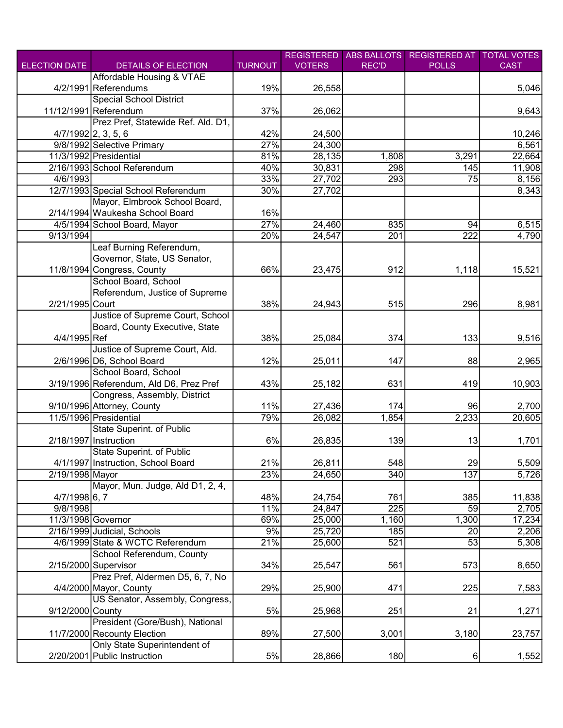|                      |                                         |                | <b>REGISTERED</b> | <b>ABS BALLOTS</b> | <b>REGISTERED AT</b> | <b>TOTAL VOTES</b> |
|----------------------|-----------------------------------------|----------------|-------------------|--------------------|----------------------|--------------------|
| <b>ELECTION DATE</b> | DETAILS OF ELECTION                     | <b>TURNOUT</b> | <b>VOTERS</b>     | <b>REC'D</b>       | <b>POLLS</b>         | <b>CAST</b>        |
|                      | Affordable Housing & VTAE               |                |                   |                    |                      |                    |
|                      | 4/2/1991 Referendums                    | 19%            | 26,558            |                    |                      | 5,046              |
|                      | <b>Special School District</b>          |                |                   |                    |                      |                    |
|                      | 11/12/1991 Referendum                   | 37%            | 26,062            |                    |                      | 9,643              |
|                      | Prez Pref, Statewide Ref. Ald. D1,      |                |                   |                    |                      |                    |
|                      | $4/7/1992$ 2, 3, 5, 6                   | 42%            | 24,500            |                    |                      | 10,246             |
|                      | 9/8/1992 Selective Primary              | 27%            | 24,300            |                    |                      | 6,561              |
|                      | 11/3/1992 Presidential                  | 81%            | 28,135            | 1,808              | 3,291                | 22,664             |
|                      | 2/16/1993 School Referendum             | 40%            | 30,831            | 298                | 145                  | 11,908             |
| 4/6/1993             |                                         | 33%            | 27,702            | 293                | $\overline{75}$      | 8,156              |
|                      | 12/7/1993 Special School Referendum     | 30%            | 27,702            |                    |                      | 8,343              |
|                      | Mayor, Elmbrook School Board,           |                |                   |                    |                      |                    |
|                      | 2/14/1994 Waukesha School Board         | 16%            |                   |                    |                      |                    |
|                      | 4/5/1994 School Board, Mayor            | 27%            | 24,460            | 835                | 94                   | 6,515              |
| 9/13/1994            |                                         | 20%            | 24,547            | 201                | 222                  | 4,790              |
|                      | Leaf Burning Referendum,                |                |                   |                    |                      |                    |
|                      | Governor, State, US Senator,            |                |                   |                    |                      |                    |
|                      | 11/8/1994 Congress, County              | 66%            | 23,475            | 912                | 1,118                | 15,521             |
|                      | School Board, School                    |                |                   |                    |                      |                    |
|                      | Referendum, Justice of Supreme          |                |                   |                    |                      |                    |
| 2/21/1995 Court      |                                         | 38%            | 24,943            | 515                | 296                  | 8,981              |
|                      | Justice of Supreme Court, School        |                |                   |                    |                      |                    |
|                      | Board, County Executive, State          |                |                   |                    |                      |                    |
| 4/4/1995 Ref         |                                         | 38%            | 25,084            | 374                | 133                  | 9,516              |
|                      | Justice of Supreme Court, Ald.          |                |                   |                    |                      |                    |
|                      | 2/6/1996 D6, School Board               | 12%            | 25,011            | 147                | 88                   | 2,965              |
|                      | School Board, School                    |                |                   |                    |                      |                    |
|                      | 3/19/1996 Referendum, Ald D6, Prez Pref | 43%            | 25,182            | 631                | 419                  | 10,903             |
|                      | Congress, Assembly, District            |                |                   |                    |                      |                    |
|                      | 9/10/1996 Attorney, County              | 11%            | 27,436            | 174                | 96                   | 2,700              |
|                      | 11/5/1996 Presidential                  | 79%            | 26,082            | 1,854              | 2,233                | 20,605             |
|                      | State Superint. of Public               |                |                   |                    |                      |                    |
|                      | 2/18/1997 Instruction                   | 6%             | 26,835            | 139                | 13                   | 1,701              |
|                      | <b>State Superint. of Public</b>        |                |                   |                    |                      |                    |
|                      | 4/1/1997 Instruction, School Board      | 21%            | 26,811            | 548                | <b>29</b>            | 5,509              |
| 2/19/1998 Mayor      |                                         | 23%            | 24,650            | 340                | 137                  | 5,726              |
|                      | Mayor, Mun. Judge, Ald D1, 2, 4,        |                |                   |                    |                      |                    |
| 4/7/1998 6, 7        |                                         | 48%            | 24,754            | 761                | 385                  | 11,838             |
| 9/8/1998             |                                         | 11%            | 24,847            | 225                | 59                   | 2,705              |
| 11/3/1998 Governor   |                                         | 69%            | 25,000            | 1,160              | 1,300                | 17,234             |
|                      | 2/16/1999 Judicial, Schools             | 9%             | 25,720            | 185                | 20                   | 2,206              |
|                      | 4/6/1999 State & WCTC Referendum        | 21%            | 25,600            | 521                | 53                   | 5,308              |
|                      | School Referendum, County               |                |                   |                    |                      |                    |
|                      | 2/15/2000 Supervisor                    | 34%            | 25,547            | 561                | 573                  | 8,650              |
|                      | Prez Pref, Aldermen D5, 6, 7, No        |                |                   |                    |                      |                    |
|                      | 4/4/2000 Mayor, County                  | 29%            | 25,900            | 471                | 225                  | 7,583              |
|                      | US Senator, Assembly, Congress,         |                |                   |                    |                      |                    |
| 9/12/2000 County     |                                         | 5%             | 25,968            | 251                | 21                   | 1,271              |
|                      | President (Gore/Bush), National         |                |                   |                    |                      |                    |
|                      | 11/7/2000 Recounty Election             | 89%            | 27,500            | 3,001              | 3,180                | 23,757             |
|                      | Only State Superintendent of            |                |                   |                    |                      |                    |
|                      | 2/20/2001 Public Instruction            | 5%             | 28,866            | 180                | 6                    | 1,552              |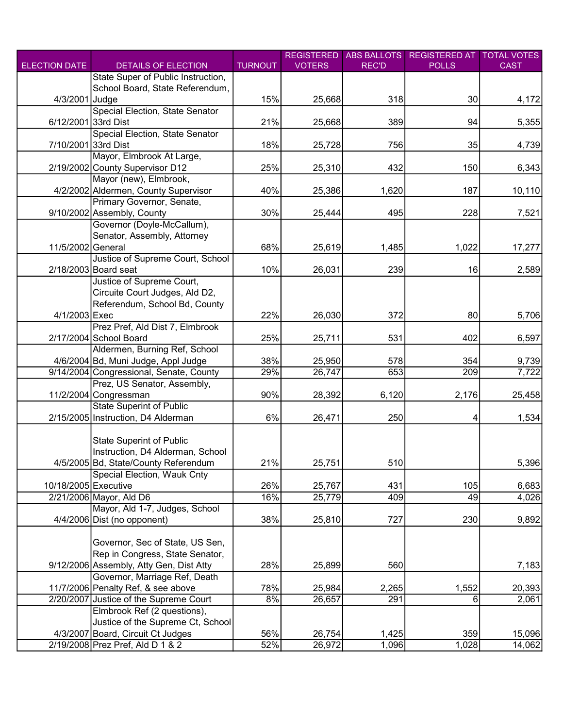| <b>ELECTION DATE</b> |                                                           |                | <b>REGISTERED</b> | <b>ABS BALLOTS</b> | <b>REGISTERED AT</b> | <b>TOTAL VOTES</b> |
|----------------------|-----------------------------------------------------------|----------------|-------------------|--------------------|----------------------|--------------------|
|                      | DETAILS OF ELECTION<br>State Super of Public Instruction, | <b>TURNOUT</b> | <b>VOTERS</b>     | <b>REC'D</b>       | <b>POLLS</b>         | <b>CAST</b>        |
|                      |                                                           |                |                   |                    |                      |                    |
| 4/3/2001 Judge       | School Board, State Referendum,                           | 15%            |                   | 318                | 30                   |                    |
|                      | Special Election, State Senator                           |                | 25,668            |                    |                      | 4,172              |
| 6/12/2001 33rd Dist  |                                                           | 21%            |                   | 389                | 94                   |                    |
|                      | Special Election, State Senator                           |                | 25,668            |                    |                      | 5,355              |
| 7/10/2001 33rd Dist  |                                                           | 18%            | 25,728            | 756                | 35                   | 4,739              |
|                      | Mayor, Elmbrook At Large,                                 |                |                   |                    |                      |                    |
|                      | 2/19/2002 County Supervisor D12                           | 25%            | 25,310            | 432                | 150                  | 6,343              |
|                      | Mayor (new), Elmbrook,                                    |                |                   |                    |                      |                    |
|                      | 4/2/2002 Aldermen, County Supervisor                      | 40%            | 25,386            | 1,620              | 187                  | 10,110             |
|                      | Primary Governor, Senate,                                 |                |                   |                    |                      |                    |
|                      | 9/10/2002 Assembly, County                                | 30%            | 25,444            | 495                | 228                  | 7,521              |
|                      | Governor (Doyle-McCallum),                                |                |                   |                    |                      |                    |
|                      | Senator, Assembly, Attorney                               |                |                   |                    |                      |                    |
| 11/5/2002 General    |                                                           | 68%            | 25,619            | 1,485              | 1,022                | 17,277             |
|                      | Justice of Supreme Court, School                          |                |                   |                    |                      |                    |
|                      | $2/18/2003$ Board seat                                    | 10%            | 26,031            | 239                | 16                   | 2,589              |
|                      | Justice of Supreme Court,                                 |                |                   |                    |                      |                    |
|                      | Circuite Court Judges, Ald D2,                            |                |                   |                    |                      |                    |
|                      | Referendum, School Bd, County                             |                |                   |                    |                      |                    |
| 4/1/2003 Exec        |                                                           | 22%            | 26,030            | 372                | 80                   | 5,706              |
|                      | Prez Pref, Ald Dist 7, Elmbrook                           |                |                   |                    |                      |                    |
|                      | 2/17/2004 School Board                                    | 25%            | 25,711            | 531                | 402                  | 6,597              |
|                      | Aldermen, Burning Ref, School                             |                |                   |                    |                      |                    |
|                      | 4/6/2004 Bd, Muni Judge, Appl Judge                       | 38%            | 25,950            | 578                | 354                  | 9,739              |
|                      | 9/14/2004 Congressional, Senate, County                   | 29%            | 26,747            | 653                | 209                  | 7,722              |
|                      | Prez, US Senator, Assembly,                               |                |                   |                    |                      |                    |
|                      | 11/2/2004 Congressman                                     | 90%            | 28,392            | 6,120              | 2,176                | 25,458             |
|                      | <b>State Superint of Public</b>                           |                |                   |                    |                      |                    |
|                      | 2/15/2005 Instruction, D4 Alderman                        | 6%             | 26,471            | 250                | 4                    | 1,534              |
|                      |                                                           |                |                   |                    |                      |                    |
|                      | <b>State Superint of Public</b>                           |                |                   |                    |                      |                    |
|                      | Instruction, D4 Alderman, School                          |                |                   |                    |                      |                    |
|                      | 4/5/2005 Bd, State/County Referendum                      | 21%            | 25,751            | 510                |                      | 5,396              |
|                      | Special Election, Wauk Cnty                               |                |                   |                    |                      |                    |
| 10/18/2005 Executive |                                                           | 26%            | 25,767            | 431                | 105                  | 6,683              |
|                      | 2/21/2006 Mayor, Ald D6                                   | 16%            | 25,779            | 409                | 49                   | 4,026              |
|                      | Mayor, Ald 1-7, Judges, School                            |                |                   |                    |                      |                    |
|                      | 4/4/2006 Dist (no opponent)                               | 38%            | 25,810            | 727                | 230                  | 9,892              |
|                      |                                                           |                |                   |                    |                      |                    |
|                      | Governor, Sec of State, US Sen,                           |                |                   |                    |                      |                    |
|                      | Rep in Congress, State Senator,                           |                |                   |                    |                      |                    |
|                      | 9/12/2006 Assembly, Atty Gen, Dist Atty                   | 28%            | 25,899            | 560                |                      | 7,183              |
|                      | Governor, Marriage Ref, Death                             |                |                   |                    |                      |                    |
|                      | 11/7/2006 Penalty Ref, & see above                        | 78%            | 25,984            | 2,265              | 1,552                | 20,393             |
|                      | 2/20/2007 Justice of the Supreme Court                    | 8%             | 26,657            | 291                | 6                    | 2,061              |
|                      | Elmbrook Ref (2 questions),                               |                |                   |                    |                      |                    |
|                      | Justice of the Supreme Ct, School                         |                |                   |                    |                      |                    |
|                      | 4/3/2007 Board, Circuit Ct Judges                         | 56%            | 26,754            | 1,425              | 359                  | 15,096             |
|                      | 2/19/2008 Prez Pref, Ald D 1 & 2                          | 52%            | 26,972            | 1,096              | 1,028                | 14,062             |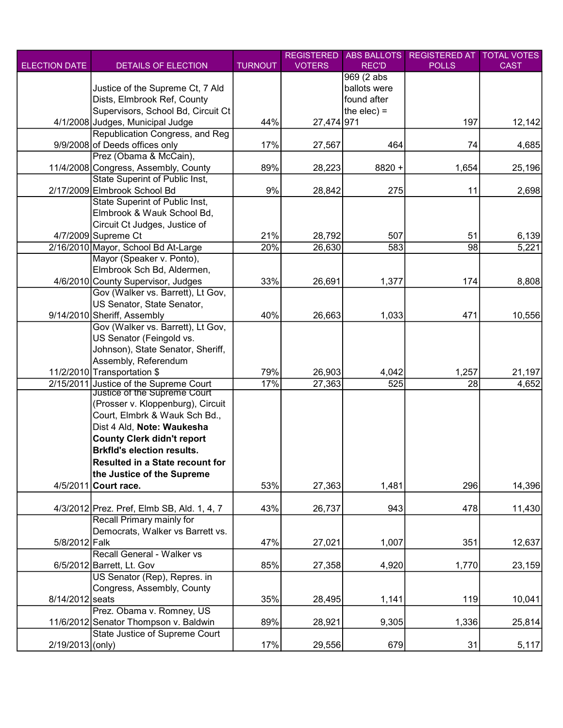|                      |                                            |                | <b>REGISTERED</b> | <b>ABS BALLOTS</b> | <b>REGISTERED AT</b> | <b>TOTAL VOTES</b> |
|----------------------|--------------------------------------------|----------------|-------------------|--------------------|----------------------|--------------------|
| <b>ELECTION DATE</b> | DETAILS OF ELECTION                        | <b>TURNOUT</b> | <b>VOTERS</b>     | <b>REC'D</b>       | <b>POLLS</b>         | <b>CAST</b>        |
|                      |                                            |                |                   | 969 (2 abs         |                      |                    |
|                      | Justice of the Supreme Ct, 7 Ald           |                |                   | ballots were       |                      |                    |
|                      | Dists, Elmbrook Ref, County                |                |                   | found after        |                      |                    |
|                      | Supervisors, School Bd, Circuit Ct         |                |                   | the elec) $=$      |                      |                    |
|                      | 4/1/2008 Judges, Municipal Judge           | 44%            | 27,474 971        |                    | 197                  | 12,142             |
|                      | Republication Congress, and Reg            |                |                   |                    |                      |                    |
|                      | 9/9/2008 of Deeds offices only             | 17%            | 27,567            | 464                | 74                   | 4,685              |
|                      | Prez (Obama & McCain),                     |                |                   |                    |                      |                    |
|                      | 11/4/2008 Congress, Assembly, County       | 89%            | 28,223            | 8820 +             | 1,654                | 25,196             |
|                      | <b>State Superint of Public Inst,</b>      |                |                   |                    |                      |                    |
|                      | 2/17/2009 Elmbrook School Bd               | 9%             | 28,842            | 275                | 11                   | 2,698              |
|                      | State Superint of Public Inst,             |                |                   |                    |                      |                    |
|                      | Elmbrook & Wauk School Bd,                 |                |                   |                    |                      |                    |
|                      | Circuit Ct Judges, Justice of              |                |                   |                    |                      |                    |
|                      | 4/7/2009 Supreme Ct                        | 21%            | 28,792            | 507                | 51                   | 6,139              |
|                      | 2/16/2010 Mayor, School Bd At-Large        | 20%            | 26,630            | 583                | $\overline{98}$      | 5,221              |
|                      |                                            |                |                   |                    |                      |                    |
|                      | Mayor (Speaker v. Ponto),                  |                |                   |                    |                      |                    |
|                      | Elmbrook Sch Bd, Aldermen,                 |                |                   |                    |                      |                    |
|                      | 4/6/2010 County Supervisor, Judges         | 33%            | 26,691            | 1,377              | 174                  | 8,808              |
|                      | Gov (Walker vs. Barrett), Lt Gov,          |                |                   |                    |                      |                    |
|                      | US Senator, State Senator,                 |                |                   |                    |                      |                    |
|                      | 9/14/2010 Sheriff, Assembly                | 40%            | 26,663            | 1,033              | 471                  | 10,556             |
|                      | Gov (Walker vs. Barrett), Lt Gov,          |                |                   |                    |                      |                    |
|                      | US Senator (Feingold vs.                   |                |                   |                    |                      |                    |
|                      | Johnson), State Senator, Sheriff,          |                |                   |                    |                      |                    |
|                      | Assembly, Referendum                       |                |                   |                    |                      |                    |
|                      | 11/2/2010 Transportation \$                | 79%            | 26,903            | 4,042              | 1,257                | 21,197             |
| 2/15/2011            | Justice of the Supreme Court               | 17%            | 27,363            | 525                | 28                   | 4,652              |
|                      | Justice of the Supreme Court               |                |                   |                    |                      |                    |
|                      | (Prosser v. Kloppenburg), Circuit          |                |                   |                    |                      |                    |
|                      | Court, Elmbrk & Wauk Sch Bd.,              |                |                   |                    |                      |                    |
|                      | Dist 4 Ald, Note: Waukesha                 |                |                   |                    |                      |                    |
|                      | <b>County Clerk didn't report</b>          |                |                   |                    |                      |                    |
|                      | <b>Brkfld's election results.</b>          |                |                   |                    |                      |                    |
|                      | Resulted in a State recount for            |                |                   |                    |                      |                    |
|                      | the Justice of the Supreme                 |                |                   |                    |                      |                    |
| 4/5/2011             | Court race.                                | 53%            | 27,363            | 1,481              | 296                  | 14,396             |
|                      |                                            |                |                   |                    |                      |                    |
|                      | 4/3/2012 Prez. Pref, Elmb SB, Ald. 1, 4, 7 | 43%            | 26,737            | 943                | 478                  | 11,430             |
|                      | Recall Primary mainly for                  |                |                   |                    |                      |                    |
|                      | Democrats, Walker vs Barrett vs.           |                |                   |                    |                      |                    |
| 5/8/2012 Falk        |                                            | 47%            | 27,021            | 1,007              | 351                  | 12,637             |
|                      | Recall General - Walker vs                 |                |                   |                    |                      |                    |
|                      | 6/5/2012 Barrett, Lt. Gov                  | 85%            | 27,358            | 4,920              | 1,770                | 23,159             |
|                      | US Senator (Rep), Repres. in               |                |                   |                    |                      |                    |
|                      | Congress, Assembly, County                 |                |                   |                    |                      |                    |
| 8/14/2012 seats      |                                            | 35%            | 28,495            | 1,141              | 119                  | 10,041             |
|                      | Prez. Obama v. Romney, US                  |                |                   |                    |                      |                    |
|                      | 11/6/2012 Senator Thompson v. Baldwin      | 89%            | 28,921            | 9,305              | 1,336                | 25,814             |
|                      | State Justice of Supreme Court             |                |                   |                    |                      |                    |
| 2/19/2013 (only)     |                                            | 17%            | 29,556            | 679                | 31                   | 5,117              |
|                      |                                            |                |                   |                    |                      |                    |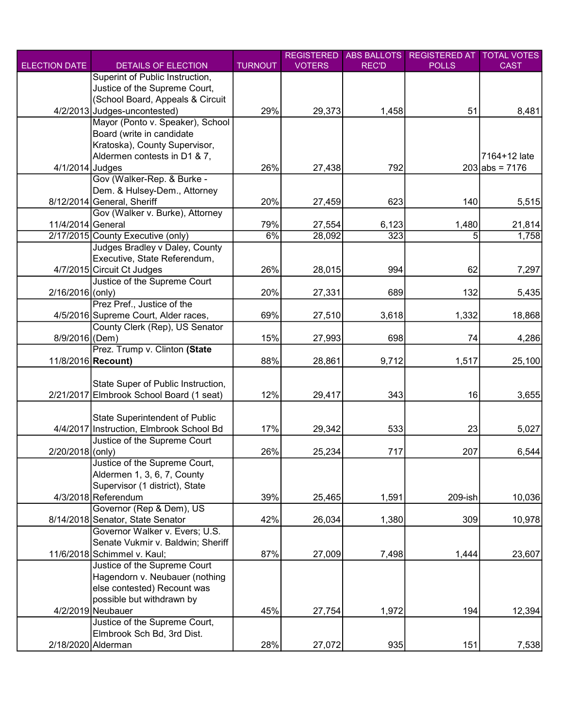|                      |                                          |                | <b>REGISTERED</b> | <b>ABS BALLOTS</b> | <b>REGISTERED AT</b> | <b>TOTAL VOTES</b> |
|----------------------|------------------------------------------|----------------|-------------------|--------------------|----------------------|--------------------|
| <b>ELECTION DATE</b> | DETAILS OF ELECTION                      | <b>TURNOUT</b> | <b>VOTERS</b>     | <b>REC'D</b>       | <b>POLLS</b>         | <b>CAST</b>        |
|                      | Superint of Public Instruction,          |                |                   |                    |                      |                    |
|                      | Justice of the Supreme Court,            |                |                   |                    |                      |                    |
|                      | (School Board, Appeals & Circuit         |                |                   |                    |                      |                    |
|                      | 4/2/2013 Judges-uncontested)             | 29%            | 29,373            | 1,458              | 51                   | 8,481              |
|                      | Mayor (Ponto v. Speaker), School         |                |                   |                    |                      |                    |
|                      | Board (write in candidate                |                |                   |                    |                      |                    |
|                      | Kratoska), County Supervisor,            |                |                   |                    |                      |                    |
|                      | Aldermen contests in D1 & 7,             |                |                   |                    |                      | 7164+12 late       |
| 4/1/2014 Judges      |                                          | 26%            | 27,438            | 792                |                      | $203$ abs = 7176   |
|                      | Gov (Walker-Rep. & Burke -               |                |                   |                    |                      |                    |
|                      | Dem. & Hulsey-Dem., Attorney             |                |                   |                    |                      |                    |
|                      | 8/12/2014 General, Sheriff               | 20%            | 27,459            | 623                | 140                  | 5,515              |
|                      | Gov (Walker v. Burke), Attorney          |                |                   |                    |                      |                    |
| 11/4/2014 General    |                                          | 79%            | 27,554            | 6,123              | 1,480                | 21,814             |
|                      | 2/17/2015 County Executive (only)        | 6%             | 28,092            | 323                | 5                    | 1,758              |
|                      | Judges Bradley v Daley, County           |                |                   |                    |                      |                    |
|                      | Executive, State Referendum,             |                |                   |                    |                      |                    |
|                      | 4/7/2015 Circuit Ct Judges               | 26%            | 28,015            | 994                | 62                   | 7,297              |
|                      | Justice of the Supreme Court             |                |                   |                    |                      |                    |
| 2/16/2016 (only)     |                                          | 20%            | 27,331            | 689                | 132                  | 5,435              |
|                      | Prez Pref., Justice of the               |                |                   |                    |                      |                    |
|                      | 4/5/2016 Supreme Court, Alder races,     | 69%            | 27,510            | 3,618              | 1,332                | 18,868             |
|                      | County Clerk (Rep), US Senator           |                |                   |                    |                      |                    |
| 8/9/2016 (Dem)       |                                          | 15%            | 27,993            | 698                | 74                   | 4,286              |
|                      | Prez. Trump v. Clinton (State            |                |                   |                    |                      |                    |
|                      | 11/8/2016 <b>Recount</b> )               | 88%            | 28,861            | 9,712              | 1,517                | 25,100             |
|                      |                                          |                |                   |                    |                      |                    |
|                      | State Super of Public Instruction,       |                |                   |                    |                      |                    |
|                      | 2/21/2017 Elmbrook School Board (1 seat) | 12%            | 29,417            | 343                | 16                   | 3,655              |
|                      |                                          |                |                   |                    |                      |                    |
|                      | State Superintendent of Public           |                |                   |                    |                      |                    |
|                      | 4/4/2017 Instruction, Elmbrook School Bd | 17%            | 29,342            | 533                | 23                   | 5,027              |
|                      | Justice of the Supreme Court             |                |                   |                    |                      |                    |
| 2/20/2018 (only)     |                                          | 26%            | 25,234            | 717                | 207                  | 6,544              |
|                      | Justice of the Supreme Court,            |                |                   |                    |                      |                    |
|                      | Aldermen 1, 3, 6, 7, County              |                |                   |                    |                      |                    |
|                      | Supervisor (1 district), State           |                |                   |                    |                      |                    |
|                      | 4/3/2018 Referendum                      | 39%            | 25,465            | 1,591              | 209-ish              | 10,036             |
|                      | Governor (Rep & Dem), US                 |                |                   |                    |                      |                    |
|                      | 8/14/2018 Senator, State Senator         | 42%            | 26,034            | 1,380              | 309                  | 10,978             |
|                      | Governor Walker v. Evers; U.S.           |                |                   |                    |                      |                    |
|                      | Senate Vukmir v. Baldwin; Sheriff        |                |                   |                    |                      |                    |
|                      | 11/6/2018 Schimmel v. Kaul;              | 87%            | 27,009            |                    |                      |                    |
|                      |                                          |                |                   | 7,498              | 1,444                | 23,607             |
|                      | Justice of the Supreme Court             |                |                   |                    |                      |                    |
|                      | Hagendorn v. Neubauer (nothing           |                |                   |                    |                      |                    |
|                      | else contested) Recount was              |                |                   |                    |                      |                    |
|                      | possible but withdrawn by                |                |                   |                    |                      |                    |
|                      | 4/2/2019 Neubauer                        | 45%            | 27,754            | 1,972              | 194                  | 12,394             |
|                      | Justice of the Supreme Court,            |                |                   |                    |                      |                    |
|                      | Elmbrook Sch Bd, 3rd Dist.               |                |                   |                    |                      |                    |
|                      | 2/18/2020 Alderman                       | 28%            | 27,072            | 935                | 151                  | 7,538              |